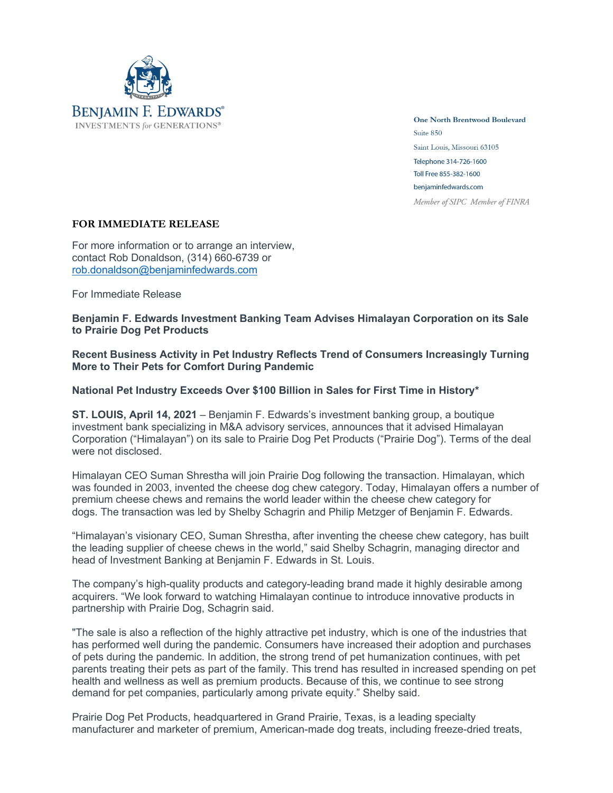

**One North Brentwood Boulevard** Suite 850 Saint Louis, Missouri 63105 Telephone 314-726-1600 Toll Free 855-382-1600 benjaminfedwards.com Member of SIPC Member of FINRA

## **FOR IMMEDIATE RELEASE**

For more information or to arrange an interview, contact Rob Donaldson, (314) 660-6739 or rob.donaldson@benjaminfedwards.com

For Immediate Release

## **Benjamin F. Edwards Investment Banking Team Advises Himalayan Corporation on its Sale to Prairie Dog Pet Products**

**Recent Business Activity in Pet Industry Reflects Trend of Consumers Increasingly Turning More to Their Pets for Comfort During Pandemic**

## **National Pet Industry Exceeds Over \$100 Billion in Sales for First Time in History\***

**ST. LOUIS, April 14, 2021** – Benjamin F. Edwards's investment banking group, a boutique investment bank specializing in M&A advisory services, announces that it advised Himalayan Corporation ("Himalayan") on its sale to Prairie Dog Pet Products ("Prairie Dog"). Terms of the deal were not disclosed.

Himalayan CEO Suman Shrestha will join Prairie Dog following the transaction. Himalayan, which was founded in 2003, invented the cheese dog chew category. Today, Himalayan offers a number of premium cheese chews and remains the world leader within the cheese chew category for dogs. The transaction was led by Shelby Schagrin and Philip Metzger of Benjamin F. Edwards.

"Himalayan's visionary CEO, Suman Shrestha, after inventing the cheese chew category, has built the leading supplier of cheese chews in the world," said Shelby Schagrin, managing director and head of Investment Banking at Benjamin F. Edwards in St. Louis.

The company's high-quality products and category-leading brand made it highly desirable among acquirers. "We look forward to watching Himalayan continue to introduce innovative products in partnership with Prairie Dog, Schagrin said.

"The sale is also a reflection of the highly attractive pet industry, which is one of the industries that has performed well during the pandemic. Consumers have increased their adoption and purchases of pets during the pandemic. In addition, the strong trend of pet humanization continues, with pet parents treating their pets as part of the family. This trend has resulted in increased spending on pet health and wellness as well as premium products. Because of this, we continue to see strong demand for pet companies, particularly among private equity." Shelby said.

Prairie Dog Pet Products, headquartered in Grand Prairie, Texas, is a leading specialty manufacturer and marketer of premium, American-made dog treats, including freeze-dried treats,